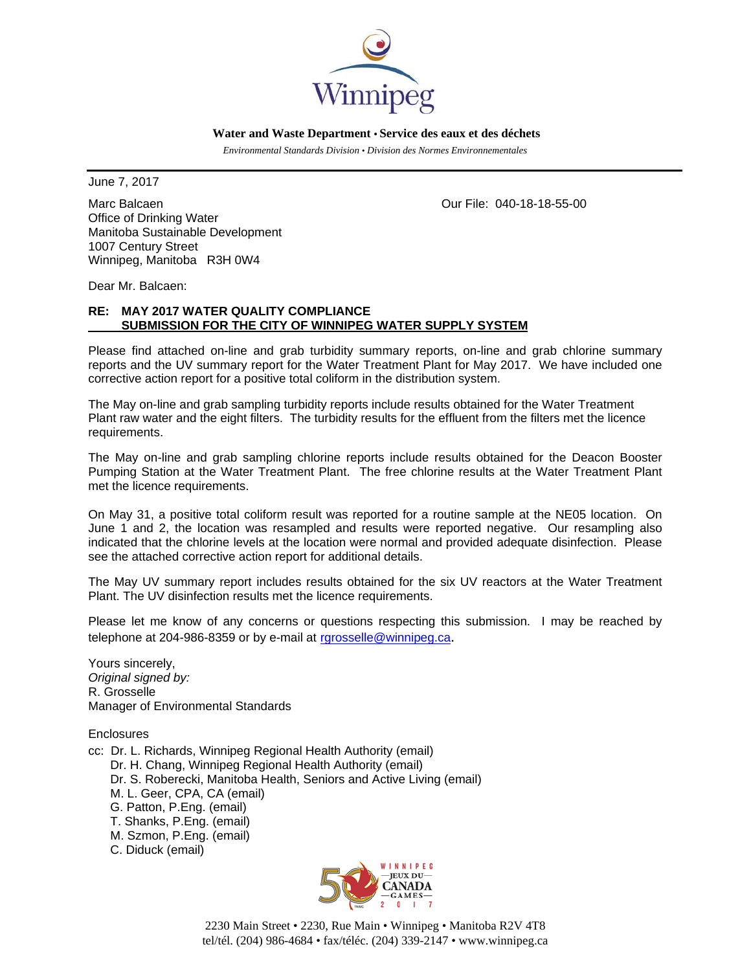

 **Water and Waste Department • Service des eaux et des déchets**

 *Environmental Standards Division • Division des Normes Environnementales* 

June 7, 2017

Marc Balcaen **Our File: 040-18-18-55-00** Office of Drinking Water Manitoba Sustainable Development 1007 Century Street Winnipeg, Manitoba R3H 0W4

Dear Mr. Balcaen:

## **RE: MAY 2017 WATER QUALITY COMPLIANCE SUBMISSION FOR THE CITY OF WINNIPEG WATER SUPPLY SYSTEM**

Please find attached on-line and grab turbidity summary reports, on-line and grab chlorine summary reports and the UV summary report for the Water Treatment Plant for May 2017. We have included one corrective action report for a positive total coliform in the distribution system.

The May on-line and grab sampling turbidity reports include results obtained for the Water Treatment Plant raw water and the eight filters. The turbidity results for the effluent from the filters met the licence requirements.

The May on-line and grab sampling chlorine reports include results obtained for the Deacon Booster Pumping Station at the Water Treatment Plant. The free chlorine results at the Water Treatment Plant met the licence requirements.

On May 31, a positive total coliform result was reported for a routine sample at the NE05 location. On June 1 and 2, the location was resampled and results were reported negative. Our resampling also indicated that the chlorine levels at the location were normal and provided adequate disinfection. Please see the attached corrective action report for additional details.

The May UV summary report includes results obtained for the six UV reactors at the Water Treatment Plant. The UV disinfection results met the licence requirements.

Please let me know of any concerns or questions respecting this submission. I may be reached by telephone at 204-986-8359 or by e-mail at rgrosselle@winnipeg.ca.

Yours sincerely, *Original signed by:*  R. Grosselle Manager of Environmental Standards

**Enclosures** 

- cc: Dr. L. Richards, Winnipeg Regional Health Authority (email) Dr. H. Chang, Winnipeg Regional Health Authority (email) Dr. S. Roberecki, Manitoba Health, Seniors and Active Living (email) M. L. Geer, CPA, CA (email) G. Patton, P.Eng. (email) T. Shanks, P.Eng. (email) M. Szmon, P.Eng. (email)
	- C. Diduck (email)



2230 Main Street • 2230, Rue Main • Winnipeg • Manitoba R2V 4T8 tel/tél. (204) 986-4684 • fax/téléc. (204) 339-2147 • www.winnipeg.ca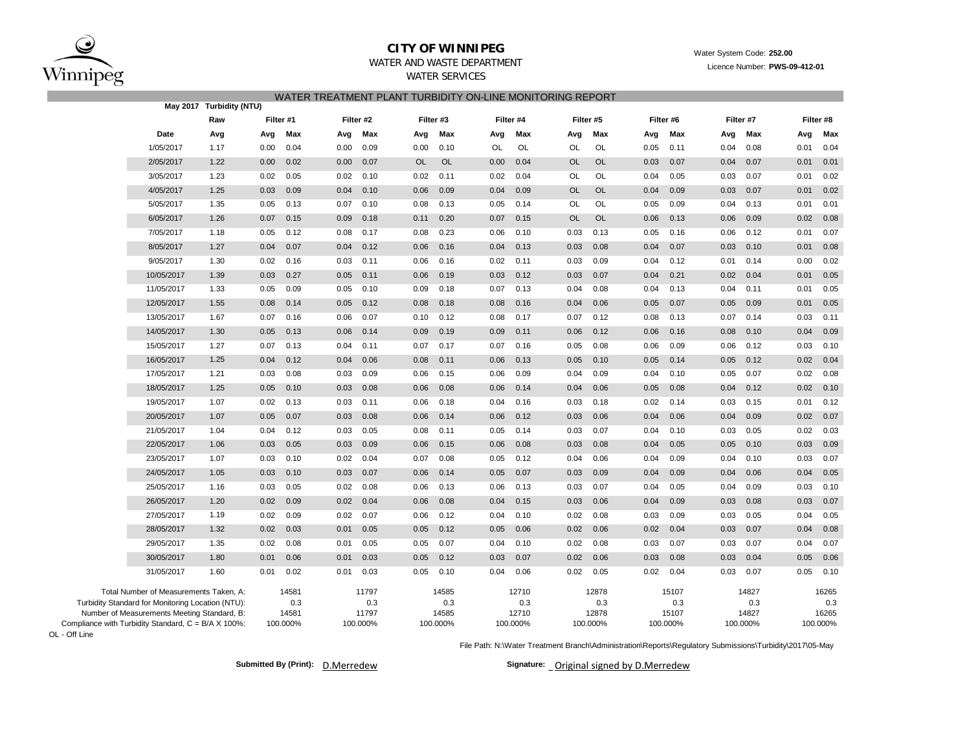

### **CITY OF WINNIPEG**WATER AND WASTE DEPARTMENT

WATER SERVICES

# Water System Code: **252.00**

### Licence Number: **PWS-09-412-01**

## WATER TREATMENT PLANT TURBIDITY ON-LINE MONITORING REPORT

|                                                     |                                                   | May 2017 Turbidity (NTU) |           |          |      |           | VATEN TNEATIVIENT FEANT TUNDIDITT UN EINE MUNITUNING NEFUNT |           |      |           |           |           |      |           |      |           |      |           |
|-----------------------------------------------------|---------------------------------------------------|--------------------------|-----------|----------|------|-----------|-------------------------------------------------------------|-----------|------|-----------|-----------|-----------|------|-----------|------|-----------|------|-----------|
|                                                     |                                                   | Raw                      | Filter #1 |          |      | Filter #2 | Filter #3                                                   |           |      | Filter #4 |           | Filter #5 |      | Filter #6 |      | Filter #7 |      | Filter #8 |
|                                                     | Date                                              | Avg                      | Avg       | Max      | Avg  | Max       | Avg                                                         | Max       | Avg  | Max       | Avg       | Max       | Avg  | Max       | Avg  | Max       | Avg  | Max       |
|                                                     | 1/05/2017                                         | 1.17                     | 0.00      | 0.04     | 0.00 | 0.09      | 0.00                                                        | 0.10      | OL   | OL        | OL        | OL        | 0.05 | 0.11      | 0.04 | 0.08      | 0.01 | 0.04      |
|                                                     | 2/05/2017                                         | 1.22                     | 0.00      | 0.02     | 0.00 | 0.07      | <b>OL</b>                                                   | <b>OL</b> | 0.00 | 0.04      | <b>OL</b> | <b>OL</b> | 0.03 | 0.07      | 0.04 | 0.07      | 0.01 | 0.01      |
|                                                     | 3/05/2017                                         | 1.23                     | 0.02      | 0.05     | 0.02 | 0.10      | 0.02                                                        | 0.11      | 0.02 | 0.04      | OL        | OL        | 0.04 | 0.05      | 0.03 | 0.07      | 0.01 | 0.02      |
|                                                     | 4/05/2017                                         | 1.25                     | 0.03      | 0.09     | 0.04 | 0.10      | 0.06                                                        | 0.09      | 0.04 | 0.09      | <b>OL</b> | <b>OL</b> | 0.04 | 0.09      | 0.03 | 0.07      | 0.01 | 0.02      |
|                                                     | 5/05/2017                                         | 1.35                     | 0.05      | 0.13     | 0.07 | 0.10      | 0.08                                                        | 0.13      | 0.05 | 0.14      | OL        | <b>OL</b> | 0.05 | 0.09      | 0.04 | 0.13      | 0.01 | 0.01      |
|                                                     | 6/05/2017                                         | 1.26                     | 0.07      | 0.15     | 0.09 | 0.18      | 0.11                                                        | 0.20      | 0.07 | 0.15      | <b>OL</b> | OL        | 0.06 | 0.13      | 0.06 | 0.09      | 0.02 | 0.08      |
|                                                     | 7/05/2017                                         | 1.18                     | 0.05      | 0.12     | 0.08 | 0.17      | 0.08                                                        | 0.23      | 0.06 | 0.10      | 0.03      | 0.13      | 0.05 | 0.16      | 0.06 | 0.12      | 0.01 | 0.07      |
|                                                     | 8/05/2017                                         | 1.27                     | 0.04      | 0.07     | 0.04 | 0.12      | 0.06                                                        | 0.16      | 0.04 | 0.13      | 0.03      | 0.08      | 0.04 | 0.07      | 0.03 | 0.10      | 0.01 | 0.08      |
|                                                     | 9/05/2017                                         | 1.30                     | 0.02      | 0.16     | 0.03 | 0.11      | 0.06                                                        | 0.16      | 0.02 | 0.11      | 0.03      | 0.09      | 0.04 | 0.12      | 0.01 | 0.14      | 0.00 | 0.02      |
|                                                     | 10/05/2017                                        | 1.39                     | 0.03      | 0.27     | 0.05 | 0.11      | 0.06                                                        | 0.19      | 0.03 | 0.12      | 0.03      | 0.07      | 0.04 | 0.21      | 0.02 | 0.04      | 0.01 | 0.05      |
|                                                     | 11/05/2017                                        | 1.33                     | 0.05      | 0.09     | 0.05 | 0.10      | 0.09                                                        | 0.18      | 0.07 | 0.13      | 0.04      | 0.08      | 0.04 | 0.13      | 0.04 | 0.11      | 0.01 | 0.05      |
|                                                     | 12/05/2017                                        | 1.55                     | 0.08      | 0.14     | 0.05 | 0.12      | 0.08                                                        | 0.18      | 0.08 | 0.16      | 0.04      | 0.06      | 0.05 | 0.07      | 0.05 | 0.09      | 0.01 | 0.05      |
|                                                     | 13/05/2017                                        | 1.67                     | 0.07      | 0.16     | 0.06 | 0.07      | 0.10                                                        | 0.12      | 0.08 | 0.17      | 0.07      | 0.12      | 0.08 | 0.13      | 0.07 | 0.14      | 0.03 | 0.11      |
|                                                     | 14/05/2017                                        | 1.30                     | 0.05      | 0.13     | 0.06 | 0.14      | 0.09                                                        | 0.19      | 0.09 | 0.11      | 0.06      | 0.12      | 0.06 | 0.16      | 0.08 | 0.10      | 0.04 | 0.09      |
|                                                     | 15/05/2017                                        | 1.27                     | 0.07      | 0.13     | 0.04 | 0.11      | 0.07                                                        | 0.17      | 0.07 | 0.16      | 0.05      | 0.08      | 0.06 | 0.09      | 0.06 | 0.12      | 0.03 | 0.10      |
|                                                     | 16/05/2017                                        | 1.25                     | 0.04      | 0.12     | 0.04 | 0.06      | 0.08                                                        | 0.11      | 0.06 | 0.13      | 0.05      | 0.10      | 0.05 | 0.14      | 0.05 | 0.12      | 0.02 | 0.04      |
|                                                     | 17/05/2017                                        | 1.21                     | 0.03      | 0.08     | 0.03 | 0.09      | 0.06                                                        | 0.15      | 0.06 | 0.09      | 0.04      | 0.09      | 0.04 | 0.10      | 0.05 | 0.07      | 0.02 | 0.08      |
|                                                     | 18/05/2017                                        | 1.25                     | 0.05      | 0.10     | 0.03 | 0.08      | 0.06                                                        | 0.08      | 0.06 | 0.14      | 0.04      | 0.06      | 0.05 | 0.08      | 0.04 | 0.12      | 0.02 | 0.10      |
|                                                     | 19/05/2017                                        | 1.07                     | 0.02      | 0.13     | 0.03 | 0.11      | 0.06                                                        | 0.18      | 0.04 | 0.16      | 0.03      | 0.18      | 0.02 | 0.14      | 0.03 | 0.15      | 0.01 | 0.12      |
|                                                     | 20/05/2017                                        | 1.07                     | 0.05      | 0.07     | 0.03 | 0.08      | 0.06                                                        | 0.14      | 0.06 | 0.12      | 0.03      | 0.06      | 0.04 | 0.06      | 0.04 | 0.09      | 0.02 | 0.07      |
|                                                     | 21/05/2017                                        | 1.04                     | 0.04      | 0.12     | 0.03 | 0.05      | 0.08                                                        | 0.11      | 0.05 | 0.14      | 0.03      | 0.07      | 0.04 | 0.10      | 0.03 | 0.05      | 0.02 | 0.03      |
|                                                     | 22/05/2017                                        | 1.06                     | 0.03      | 0.05     | 0.03 | 0.09      | 0.06                                                        | 0.15      | 0.06 | 0.08      | 0.03      | 0.08      | 0.04 | 0.05      | 0.05 | 0.10      | 0.03 | 0.09      |
|                                                     | 23/05/2017                                        | 1.07                     | 0.03      | 0.10     | 0.02 | 0.04      | 0.07                                                        | 0.08      | 0.05 | 0.12      | 0.04      | 0.06      | 0.04 | 0.09      | 0.04 | 0.10      | 0.03 | 0.07      |
|                                                     | 24/05/2017                                        | 1.05                     | 0.03      | 0.10     | 0.03 | 0.07      | 0.06                                                        | 0.14      | 0.05 | 0.07      | 0.03      | 0.09      | 0.04 | 0.09      | 0.04 | 0.06      | 0.04 | 0.05      |
|                                                     | 25/05/2017                                        | 1.16                     | 0.03      | 0.05     | 0.02 | 0.08      | 0.06                                                        | 0.13      | 0.06 | 0.13      | 0.03      | 0.07      | 0.04 | 0.05      | 0.04 | 0.09      | 0.03 | 0.10      |
|                                                     | 26/05/2017                                        | 1.20                     | 0.02      | 0.09     | 0.02 | 0.04      | 0.06                                                        | 0.08      | 0.04 | 0.15      | 0.03      | 0.06      | 0.04 | 0.09      | 0.03 | 0.08      | 0.03 | 0.07      |
|                                                     | 27/05/2017                                        | 1.19                     | 0.02      | 0.09     | 0.02 | 0.07      | 0.06                                                        | 0.12      | 0.04 | 0.10      | 0.02      | 0.08      | 0.03 | 0.09      | 0.03 | 0.05      | 0.04 | 0.05      |
|                                                     | 28/05/2017                                        | 1.32                     | 0.02      | 0.03     | 0.01 | 0.05      | 0.05                                                        | 0.12      | 0.05 | 0.06      | 0.02      | 0.06      | 0.02 | 0.04      | 0.03 | 0.07      | 0.04 | 0.08      |
|                                                     | 29/05/2017                                        | 1.35                     | 0.02      | 0.08     | 0.01 | 0.05      | 0.05                                                        | 0.07      | 0.04 | 0.10      | 0.02      | 0.08      | 0.03 | 0.07      | 0.03 | 0.07      | 0.04 | 0.07      |
|                                                     | 30/05/2017                                        | 1.80                     | 0.01      | 0.06     | 0.01 | 0.03      | 0.05                                                        | 0.12      | 0.03 | 0.07      | 0.02      | 0.06      | 0.03 | 0.08      | 0.03 | 0.04      | 0.05 | 0.06      |
|                                                     | 31/05/2017                                        | 1.60                     | 0.01      | 0.02     | 0.01 | 0.03      | 0.05                                                        | 0.10      | 0.04 | 0.06      | 0.02      | 0.05      | 0.02 | 0.04      | 0.03 | 0.07      | 0.05 | 0.10      |
|                                                     | Total Number of Measurements Taken, A:            |                          |           | 14581    |      | 11797     |                                                             | 14585     |      | 12710     |           | 12878     |      | 15107     |      | 14827     |      | 16265     |
|                                                     | Turbidity Standard for Monitoring Location (NTU): |                          |           | 0.3      |      | 0.3       |                                                             | 0.3       |      | 0.3       |           | 0.3       |      | 0.3       |      | 0.3       |      | 0.3       |
|                                                     | Number of Measurements Meeting Standard, B:       |                          |           | 14581    |      | 11797     |                                                             | 14585     |      | 12710     |           | 12878     |      | 15107     |      | 14827     |      | 16265     |
| Compliance with Turbidity Standard, C = B/A X 100%: |                                                   |                          |           | 100.000% |      | 100.000%  |                                                             | 100.000%  |      | 100.000%  |           | 100.000%  |      | 100.000%  |      | 100.000%  |      | 100.000%  |

OL - Off Line

File Path: N:\Water Treatment Branch\Administration\Reports\Regulatory Submissions\Turbidity\2017\05-May

**Submitted By (Print): Signature:** D.Merredew

Signature: Original signed by D.Merredew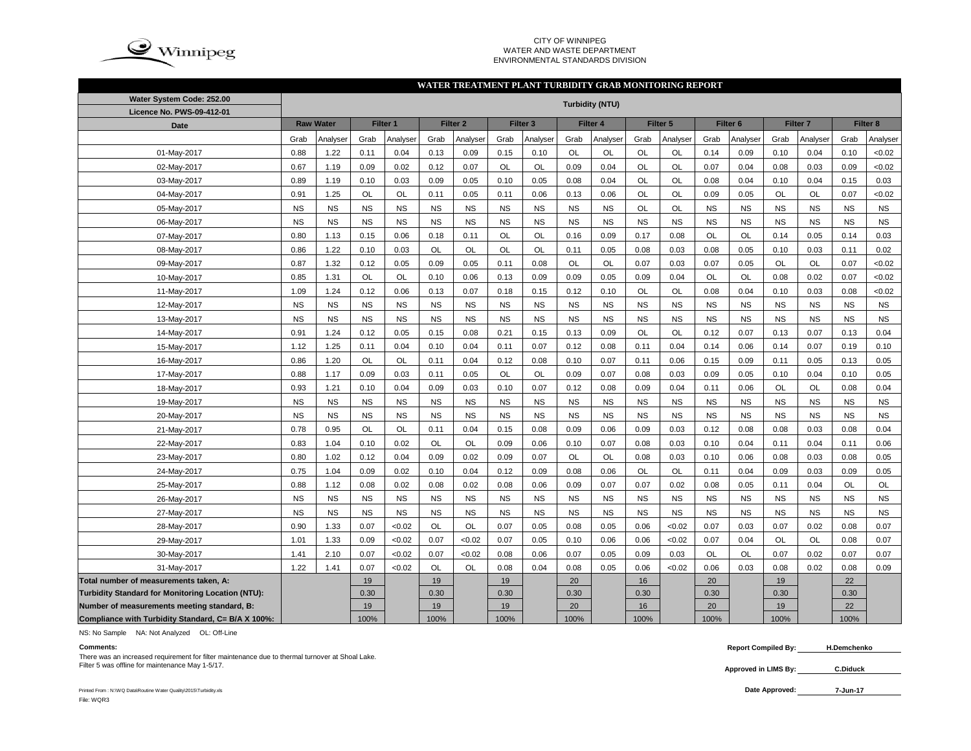

### CITY OF WINNIPEG WATER AND WASTE DEPARTMENTENVIRONMENTAL STANDARDS DIVISION

### **WATER TREATMENT PLANT TURBIDITY GRAB MONITORING REPORT**

| Water System Code: 252.00                          |           |                  |           |           |           |                     |           |                     |           | <b>Turbidity (NTU)</b> |           |           |           |                     |           |                     |           |           |
|----------------------------------------------------|-----------|------------------|-----------|-----------|-----------|---------------------|-----------|---------------------|-----------|------------------------|-----------|-----------|-----------|---------------------|-----------|---------------------|-----------|-----------|
| Licence No. PWS-09-412-01                          |           |                  |           |           |           |                     |           |                     |           |                        |           |           |           |                     |           |                     |           |           |
| <b>Date</b>                                        |           | <b>Raw Water</b> |           | Filter 1  |           | Filter <sub>2</sub> |           | Filter <sub>3</sub> |           | Filter 4               |           | Filter 5  |           | Filter <sub>6</sub> |           | Filter <sub>7</sub> |           | Filter 8  |
|                                                    | Grab      | Analyser         | Grab      | Analyser  | Grab      | Analyser            | Grab      | Analyser            | Grab      | Analyser               | Grab      | Analyser  | Grab      | Analyser            | Grab      | Analyser            | Grab      | Analyser  |
| 01-May-2017                                        | 0.88      | 1.22             | 0.11      | 0.04      | 0.13      | 0.09                | 0.15      | 0.10                | OL        | OL                     | OL        | OL        | 0.14      | 0.09                | 0.10      | 0.04                | 0.10      | <0.02     |
| 02-May-2017                                        | 0.67      | 1.19             | 0.09      | 0.02      | 0.12      | 0.07                | OL        | OL                  | 0.09      | 0.04                   | OL        | OL        | 0.07      | 0.04                | 0.08      | 0.03                | 0.09      | < 0.02    |
| 03-May-2017                                        | 0.89      | 1.19             | 0.10      | 0.03      | 0.09      | 0.05                | 0.10      | 0.05                | 0.08      | 0.04                   | OL        | OL        | 0.08      | 0.04                | 0.10      | 0.04                | 0.15      | 0.03      |
| 04-May-2017                                        | 0.91      | 1.25             | OL        | OL        | 0.11      | 0.05                | 0.11      | 0.06                | 0.13      | 0.06                   | OL        | OL        | 0.09      | 0.05                | OL        | <b>OL</b>           | 0.07      | <0.02     |
| 05-May-2017                                        | <b>NS</b> | <b>NS</b>        | <b>NS</b> | <b>NS</b> | <b>NS</b> | <b>NS</b>           | <b>NS</b> | <b>NS</b>           | <b>NS</b> | <b>NS</b>              | OL        | OL        | <b>NS</b> | <b>NS</b>           | <b>NS</b> | <b>NS</b>           | <b>NS</b> | <b>NS</b> |
| 06-May-2017                                        | <b>NS</b> | <b>NS</b>        | <b>NS</b> | <b>NS</b> | <b>NS</b> | <b>NS</b>           | <b>NS</b> | <b>NS</b>           | <b>NS</b> | <b>NS</b>              | <b>NS</b> | <b>NS</b> | <b>NS</b> | <b>NS</b>           | <b>NS</b> | <b>NS</b>           | <b>NS</b> | <b>NS</b> |
| 07-May-2017                                        | 0.80      | 1.13             | 0.15      | 0.06      | 0.18      | 0.11                | OL        | OL                  | 0.16      | 0.09                   | 0.17      | 0.08      | <b>OL</b> | <b>OL</b>           | 0.14      | 0.05                | 0.14      | 0.03      |
| 08-May-2017                                        | 0.86      | 1.22             | 0.10      | 0.03      | <b>OL</b> | <b>OL</b>           | <b>OL</b> | OL                  | 0.11      | 0.05                   | 0.08      | 0.03      | 0.08      | 0.05                | 0.10      | 0.03                | 0.11      | 0.02      |
| 09-May-2017                                        | 0.87      | 1.32             | 0.12      | 0.05      | 0.09      | 0.05                | 0.11      | 0.08                | OL        | OL                     | 0.07      | 0.03      | 0.07      | 0.05                | OL        | <b>OL</b>           | 0.07      | <0.02     |
| 10-May-2017                                        | 0.85      | 1.31             | OL        | OL        | 0.10      | 0.06                | 0.13      | 0.09                | 0.09      | 0.05                   | 0.09      | 0.04      | OL        | <b>OL</b>           | 0.08      | 0.02                | 0.07      | <0.02     |
| 11-May-2017                                        | 1.09      | 1.24             | 0.12      | 0.06      | 0.13      | 0.07                | 0.18      | 0.15                | 0.12      | 0.10                   | OL        | OL        | 0.08      | 0.04                | 0.10      | 0.03                | 0.08      | <0.02     |
| 12-May-2017                                        | <b>NS</b> | <b>NS</b>        | <b>NS</b> | <b>NS</b> | <b>NS</b> | <b>NS</b>           | <b>NS</b> | <b>NS</b>           | <b>NS</b> | <b>NS</b>              | <b>NS</b> | <b>NS</b> | <b>NS</b> | <b>NS</b>           | <b>NS</b> | <b>NS</b>           | <b>NS</b> | <b>NS</b> |
| 13-May-2017                                        | <b>NS</b> | <b>NS</b>        | <b>NS</b> | <b>NS</b> | <b>NS</b> | <b>NS</b>           | <b>NS</b> | <b>NS</b>           | <b>NS</b> | <b>NS</b>              | <b>NS</b> | <b>NS</b> | <b>NS</b> | <b>NS</b>           | <b>NS</b> | <b>NS</b>           | <b>NS</b> | <b>NS</b> |
| 14-May-2017                                        | 0.91      | 1.24             | 0.12      | 0.05      | 0.15      | 0.08                | 0.21      | 0.15                | 0.13      | 0.09                   | OL        | OL        | 0.12      | 0.07                | 0.13      | 0.07                | 0.13      | 0.04      |
| 15-May-2017                                        | 1.12      | 1.25             | 0.11      | 0.04      | 0.10      | 0.04                | 0.11      | 0.07                | 0.12      | 0.08                   | 0.11      | 0.04      | 0.14      | 0.06                | 0.14      | 0.07                | 0.19      | 0.10      |
| 16-May-2017                                        | 0.86      | 1.20             | OL        | OL        | 0.11      | 0.04                | 0.12      | 0.08                | 0.10      | 0.07                   | 0.11      | 0.06      | 0.15      | 0.09                | 0.11      | 0.05                | 0.13      | 0.05      |
| 17-May-2017                                        | 0.88      | 1.17             | 0.09      | 0.03      | 0.11      | 0.05                | OL        | <b>OL</b>           | 0.09      | 0.07                   | 0.08      | 0.03      | 0.09      | 0.05                | 0.10      | 0.04                | 0.10      | 0.05      |
| 18-May-2017                                        | 0.93      | 1.21             | 0.10      | 0.04      | 0.09      | 0.03                | 0.10      | 0.07                | 0.12      | 0.08                   | 0.09      | 0.04      | 0.11      | 0.06                | OL        | <b>OL</b>           | 0.08      | 0.04      |
| 19-May-2017                                        | <b>NS</b> | <b>NS</b>        | <b>NS</b> | <b>NS</b> | <b>NS</b> | <b>NS</b>           | <b>NS</b> | <b>NS</b>           | <b>NS</b> | <b>NS</b>              | <b>NS</b> | <b>NS</b> | <b>NS</b> | <b>NS</b>           | <b>NS</b> | <b>NS</b>           | <b>NS</b> | <b>NS</b> |
| 20-May-2017                                        | <b>NS</b> | <b>NS</b>        | <b>NS</b> | <b>NS</b> | <b>NS</b> | <b>NS</b>           | <b>NS</b> | <b>NS</b>           | <b>NS</b> | <b>NS</b>              | <b>NS</b> | <b>NS</b> | <b>NS</b> | <b>NS</b>           | <b>NS</b> | <b>NS</b>           | <b>NS</b> | <b>NS</b> |
| 21-May-2017                                        | 0.78      | 0.95             | <b>OL</b> | <b>OL</b> | 0.11      | 0.04                | 0.15      | 0.08                | 0.09      | 0.06                   | 0.09      | 0.03      | 0.12      | 0.08                | 0.08      | 0.03                | 0.08      | 0.04      |
| 22-May-2017                                        | 0.83      | 1.04             | 0.10      | 0.02      | <b>OL</b> | <b>OL</b>           | 0.09      | 0.06                | 0.10      | 0.07                   | 0.08      | 0.03      | 0.10      | 0.04                | 0.11      | 0.04                | 0.11      | 0.06      |
| 23-May-2017                                        | 0.80      | 1.02             | 0.12      | 0.04      | 0.09      | 0.02                | 0.09      | 0.07                | <b>OL</b> | OL                     | 0.08      | 0.03      | 0.10      | 0.06                | 0.08      | 0.03                | 0.08      | 0.05      |
| 24-May-2017                                        | 0.75      | 1.04             | 0.09      | 0.02      | 0.10      | 0.04                | 0.12      | 0.09                | 0.08      | 0.06                   | OL        | OL        | 0.11      | 0.04                | 0.09      | 0.03                | 0.09      | 0.05      |
| 25-May-2017                                        | 0.88      | 1.12             | 0.08      | 0.02      | 0.08      | 0.02                | 0.08      | 0.06                | 0.09      | 0.07                   | 0.07      | 0.02      | 0.08      | 0.05                | 0.11      | 0.04                | OL        | OL        |
| 26-May-2017                                        | <b>NS</b> | <b>NS</b>        | <b>NS</b> | <b>NS</b> | <b>NS</b> | <b>NS</b>           | <b>NS</b> | <b>NS</b>           | <b>NS</b> | <b>NS</b>              | <b>NS</b> | <b>NS</b> | <b>NS</b> | <b>NS</b>           | <b>NS</b> | <b>NS</b>           | <b>NS</b> | <b>NS</b> |
| 27-May-2017                                        | <b>NS</b> | <b>NS</b>        | <b>NS</b> | <b>NS</b> | <b>NS</b> | <b>NS</b>           | <b>NS</b> | <b>NS</b>           | <b>NS</b> | <b>NS</b>              | <b>NS</b> | <b>NS</b> | <b>NS</b> | <b>NS</b>           | <b>NS</b> | <b>NS</b>           | <b>NS</b> | <b>NS</b> |
| 28-May-2017                                        | 0.90      | 1.33             | 0.07      | <0.02     | <b>OL</b> | <b>OL</b>           | 0.07      | 0.05                | 0.08      | 0.05                   | 0.06      | < 0.02    | 0.07      | 0.03                | 0.07      | 0.02                | 0.08      | 0.07      |
| 29-May-2017                                        | 1.01      | 1.33             | 0.09      | <0.02     | 0.07      | < 0.02              | 0.07      | 0.05                | 0.10      | 0.06                   | 0.06      | <0.02     | 0.07      | 0.04                | OL        | OL                  | 0.08      | 0.07      |
| 30-May-2017                                        | 1.41      | 2.10             | 0.07      | <0.02     | 0.07      | <0.02               | 0.08      | 0.06                | 0.07      | 0.05                   | 0.09      | 0.03      | OL        | OL                  | 0.07      | 0.02                | 0.07      | 0.07      |
| 31-May-2017                                        | 1.22      | 1.41             | 0.07      | <0.02     | OL        | OL                  | 0.08      | 0.04                | 0.08      | 0.05                   | 0.06      | < 0.02    | 0.06      | 0.03                | 0.08      | 0.02                | 0.08      | 0.09      |
| Total number of measurements taken, A:             |           |                  | 19        |           | 19        |                     | 19        |                     | 20        |                        | 16        |           | 20        |                     | 19        |                     | 22        |           |
| Turbidity Standard for Monitoring Location (NTU):  |           |                  | 0.30      |           | 0.30      |                     | 0.30      |                     | 0.30      |                        | 0.30      |           | 0.30      |                     | 0.30      |                     | 0.30      |           |
| Number of measurements meeting standard, B:        |           |                  | 19        |           | 19        |                     | 19        |                     | 20        |                        | 16        |           | 20        |                     | 19        |                     | 22        |           |
| Compliance with Turbidity Standard, C= B/A X 100%: |           |                  | 100%      |           | 100%      |                     | 100%      |                     | 100%      |                        | 100%      |           | 100%      |                     | 100%      |                     | 100%      |           |

NS: No Sample NA: Not Analyzed OL: Off-Line

There was an increased requirement for filter maintenance due to thermal turnover at Shoal Lake. Filter 5 was offline for maintenance May 1-5/17. **C.Diduck**

**Comments: Report Compiled By: H.Demchenko**

**Approved in LIMS By:**

Printed From : N:\WQ Data\Routine Water Quality\2015\Turbidity.xls **Date Approved:** File: WQR3

**7-Jun-17**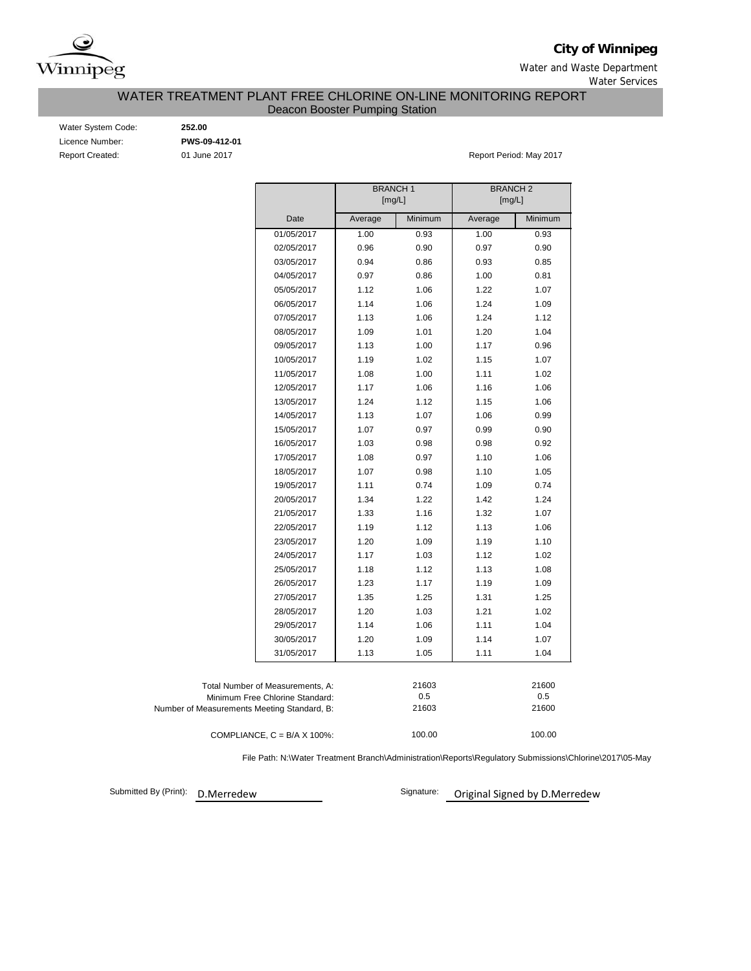

**City of Winnipeg**

Water and Waste Department Water Services

WATER TREATMENT PLANT FREE CHLORINE ON-LINE MONITORING REPORT

Deacon Booster Pumping Station

| Water System Code:     |
|------------------------|
| Licence Number:        |
| <b>Report Created:</b> |

Water System Code: **252.00** Licence Number: **PWS-09-412-01**

01 June 2017 **Report Period: May 2017** 

|                                                                                                                    | <b>BRANCH1</b> | [mg/L]                | <b>BRANCH2</b><br>[mg/L] |                       |
|--------------------------------------------------------------------------------------------------------------------|----------------|-----------------------|--------------------------|-----------------------|
| Date                                                                                                               | Average        | Minimum               | Average                  | Minimum               |
| 01/05/2017                                                                                                         | 1.00           | 0.93                  | 1.00                     | 0.93                  |
| 02/05/2017                                                                                                         | 0.96           | 0.90                  | 0.97                     | 0.90                  |
| 03/05/2017                                                                                                         | 0.94           | 0.86                  | 0.93                     | 0.85                  |
| 04/05/2017                                                                                                         | 0.97           | 0.86                  | 1.00                     | 0.81                  |
| 05/05/2017                                                                                                         | 1.12           | 1.06                  | 1.22                     | 1.07                  |
| 06/05/2017                                                                                                         | 1.14           | 1.06                  | 1.24                     | 1.09                  |
| 07/05/2017                                                                                                         | 1.13           | 1.06                  | 1.24                     | 1.12                  |
| 08/05/2017                                                                                                         | 1.09           | 1.01                  | 1.20                     | 1.04                  |
| 09/05/2017                                                                                                         | 1.13           | 1.00                  | 1.17                     | 0.96                  |
| 10/05/2017                                                                                                         | 1.19           | 1.02                  | 1.15                     | 1.07                  |
| 11/05/2017                                                                                                         | 1.08           | 1.00                  | 1.11                     | 1.02                  |
| 12/05/2017                                                                                                         | 1.17           | 1.06                  | 1.16                     | 1.06                  |
| 13/05/2017                                                                                                         | 1.24           | 1.12                  | 1.15                     | 1.06                  |
| 14/05/2017                                                                                                         | 1.13           | 1.07                  | 1.06                     | 0.99                  |
| 15/05/2017                                                                                                         | 1.07           | 0.97                  | 0.99                     | 0.90                  |
| 16/05/2017                                                                                                         | 1.03           | 0.98                  | 0.98                     | 0.92                  |
| 17/05/2017                                                                                                         | 1.08           | 0.97                  | 1.10                     | 1.06                  |
| 18/05/2017                                                                                                         | 1.07           | 0.98                  | 1.10                     | 1.05                  |
| 19/05/2017                                                                                                         | 1.11           | 0.74                  | 1.09                     | 0.74                  |
| 20/05/2017                                                                                                         | 1.34           | 1.22                  | 1.42                     | 1.24                  |
| 21/05/2017                                                                                                         | 1.33           | 1.16                  | 1.32                     | 1.07                  |
| 22/05/2017                                                                                                         | 1.19           | 1.12                  | 1.13                     | 1.06                  |
| 23/05/2017                                                                                                         | 1.20           | 1.09                  | 1.19                     | 1.10                  |
| 24/05/2017                                                                                                         | 1.17           | 1.03                  | 1.12                     | 1.02                  |
| 25/05/2017                                                                                                         | 1.18           | 1.12                  | 1.13                     | 1.08                  |
| 26/05/2017                                                                                                         | 1.23           | 1.17                  | 1.19                     | 1.09                  |
| 27/05/2017                                                                                                         | 1.35           | 1.25                  | 1.31                     | 1.25                  |
| 28/05/2017                                                                                                         | 1.20           | 1.03                  | 1.21                     | 1.02                  |
| 29/05/2017                                                                                                         | 1.14           | 1.06                  | 1.11                     | 1.04                  |
| 30/05/2017                                                                                                         | 1.20           | 1.09                  | 1.14                     | 1.07                  |
| 31/05/2017                                                                                                         | 1.13           | 1.05                  | 1.11                     | 1.04                  |
| Total Number of Measurements, A:<br>Minimum Free Chlorine Standard:<br>Number of Measurements Meeting Standard, B: |                | 21603<br>0.5<br>21603 |                          | 21600<br>0.5<br>21600 |
| COMPLIANCE, $C = B/A \times 100\%$ :                                                                               |                | 100.00                |                          | 100.00                |

File Path: N:\Water Treatment Branch\Administration\Reports\Regulatory Submissions\Chlorine\2017\05-May

Submitted By (Print): D.Merredew

Signature: Original Signed by D.Merredew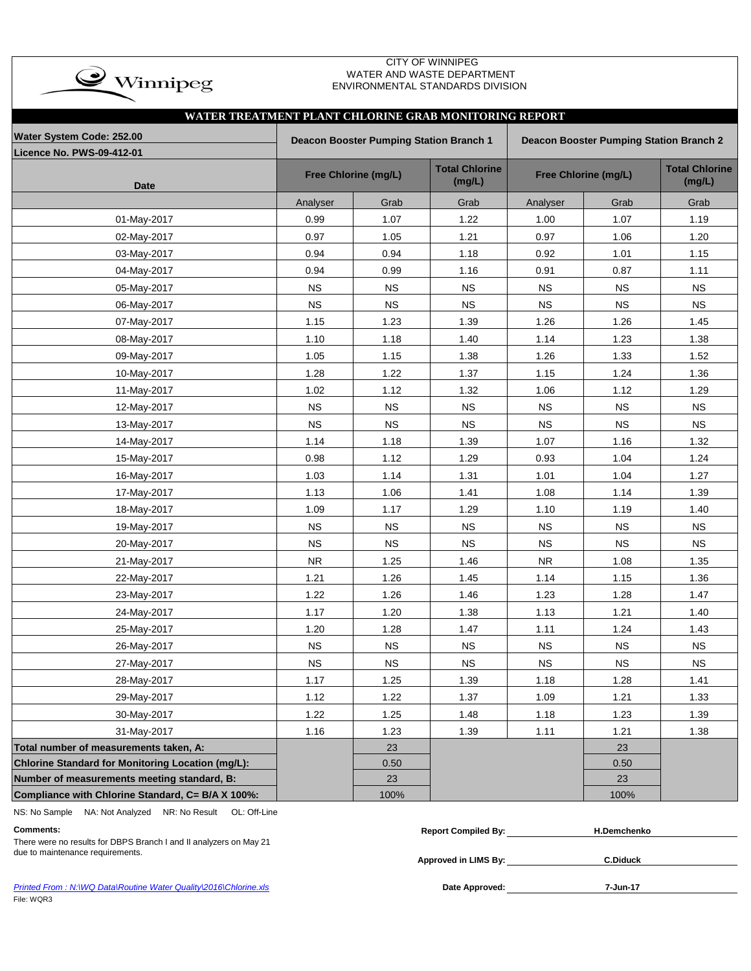

### CITY OF WINNIPEG WATER AND WASTE DEPARTMENT ENVIRONMENTAL STANDARDS DIVISION

| WATER TREATMENT PLANT CHLORINE GRAB MONITORING REPORT |            |                                         |                                 |             |                                                |                                 |
|-------------------------------------------------------|------------|-----------------------------------------|---------------------------------|-------------|------------------------------------------------|---------------------------------|
| Water System Code: 252.00                             |            | Deacon Booster Pumping Station Branch 1 |                                 |             | <b>Deacon Booster Pumping Station Branch 2</b> |                                 |
| <b>Licence No. PWS-09-412-01</b>                      |            |                                         |                                 |             |                                                |                                 |
| Date                                                  |            | Free Chlorine (mg/L)                    | <b>Total Chlorine</b><br>(mg/L) |             | Free Chlorine (mg/L)                           | <b>Total Chlorine</b><br>(mg/L) |
|                                                       | Analyser   | Grab                                    | Grab                            | Analyser    | Grab                                           | Grab                            |
| 01-May-2017                                           | 0.99       | 1.07                                    | 1.22                            | 1.00        | 1.07                                           | 1.19                            |
| 02-May-2017                                           | 0.97       | 1.05                                    | 1.21                            | 0.97        | 1.06                                           | 1.20                            |
| 03-May-2017                                           | 0.94       | 0.94                                    | 1.18                            | 0.92        | 1.01                                           | 1.15                            |
| 04-May-2017                                           | 0.94       | 0.99                                    | 1.16                            | 0.91        | 0.87                                           | 1.11                            |
| 05-May-2017                                           | <b>NS</b>  | <b>NS</b>                               | <b>NS</b>                       | $_{\rm NS}$ | <b>NS</b>                                      | <b>NS</b>                       |
| 06-May-2017                                           | <b>NS</b>  | <b>NS</b>                               | <b>NS</b>                       | <b>NS</b>   | <b>NS</b>                                      | <b>NS</b>                       |
| 07-May-2017                                           | 1.15       | 1.23                                    | 1.39                            | 1.26        | 1.26                                           | 1.45                            |
| 08-May-2017                                           | 1.10       | 1.18                                    | 1.40                            | 1.14        | 1.23                                           | 1.38                            |
| 09-May-2017                                           | 1.05       | 1.15                                    | 1.38                            | 1.26        | 1.33                                           | 1.52                            |
| 10-May-2017                                           | 1.28       | 1.22                                    | 1.37                            | 1.15        | 1.24                                           | 1.36                            |
| 11-May-2017                                           | 1.02       | 1.12                                    | 1.32                            | 1.06        | 1.12                                           | 1.29                            |
| 12-May-2017                                           | <b>NS</b>  | <b>NS</b>                               | <b>NS</b>                       | <b>NS</b>   | <b>NS</b>                                      | <b>NS</b>                       |
| 13-May-2017                                           | <b>NS</b>  | <b>NS</b>                               | <b>NS</b>                       | <b>NS</b>   | <b>NS</b>                                      | <b>NS</b>                       |
| 14-May-2017                                           | 1.14       | 1.18                                    | 1.39                            | 1.07        | 1.16                                           | 1.32                            |
| 15-May-2017                                           | 0.98       | 1.12                                    | 1.29                            | 0.93        | 1.04                                           | 1.24                            |
| 16-May-2017                                           | 1.03       | 1.14                                    | 1.31                            | 1.01        | 1.04                                           | 1.27                            |
| 17-May-2017                                           | 1.13       | 1.06                                    | 1.41                            | 1.08        | 1.14                                           | 1.39                            |
| 18-May-2017                                           | 1.09       | 1.17                                    | 1.29                            | 1.10        | 1.19                                           | 1.40                            |
| 19-May-2017                                           | <b>NS</b>  | <b>NS</b>                               | <b>NS</b>                       | <b>NS</b>   | <b>NS</b>                                      | <b>NS</b>                       |
| 20-May-2017                                           | <b>NS</b>  | <b>NS</b>                               | <b>NS</b>                       | $_{\rm NS}$ | <b>NS</b>                                      | <b>NS</b>                       |
| 21-May-2017                                           | ${\sf NR}$ | 1.25                                    | 1.46                            | <b>NR</b>   | 1.08                                           | 1.35                            |
| 22-May-2017                                           | 1.21       | 1.26                                    | 1.45                            | 1.14        | 1.15                                           | 1.36                            |
| 23-May-2017                                           | 1.22       | 1.26                                    | 1.46                            | 1.23        | 1.28                                           | 1.47                            |
| 24-May-2017                                           | 1.17       | 1.20                                    | 1.38                            | 1.13        | 1.21                                           | 1.40                            |
| 25-May-2017                                           | 1.20       | 1.28                                    | 1.47                            | 1.11        | 1.24                                           | 1.43                            |
| 26-May-2017                                           | <b>NS</b>  | <b>NS</b>                               | <b>NS</b>                       | NS          | <b>NS</b>                                      | <b>NS</b>                       |
| 27-May-2017                                           | <b>NS</b>  | $_{\rm NS}$                             | $_{\rm NS}$                     | NS          | $_{\rm NS}$                                    | <b>NS</b>                       |
| 28-May-2017                                           | 1.17       | 1.25                                    | 1.39                            | 1.18        | 1.28                                           | 1.41                            |
| 29-May-2017                                           | 1.12       | 1.22                                    | 1.37                            | 1.09        | 1.21                                           | 1.33                            |
| 30-May-2017                                           | 1.22       | 1.25                                    | 1.48                            | 1.18        | 1.23                                           | 1.39                            |
| 31-May-2017                                           | 1.16       | 1.23                                    | 1.39                            | 1.11        | 1.21                                           | 1.38                            |
| Total number of measurements taken, A:                |            | 23                                      |                                 |             | 23                                             |                                 |
| Chlorine Standard for Monitoring Location (mg/L):     |            | 0.50                                    |                                 |             | 0.50                                           |                                 |
| Number of measurements meeting standard, B:           |            | 23                                      |                                 |             | 23                                             |                                 |
| Compliance with Chlorine Standard, C= B/A X 100%:     |            | 100%                                    |                                 |             | 100%                                           |                                 |

NS: No Sample NA: Not Analyzed NR: No Result OL: Off-Line

## **Comments: Report Compiled By:**

**Approved in LIMS By:** due to maintenance requirements. **C.Diduck** There were no results for DBPS Branch I and II analyzers on May 21

| <b>Report Compiled By:</b> | H.Demchenko |  |
|----------------------------|-------------|--|
|                            |             |  |
|                            | .           |  |

| Printed From: N:\WQ Data\Routine Water Quality\2016\Chlorine.xls | Date Approved: | 7-Jun-17 |
|------------------------------------------------------------------|----------------|----------|
| File: WQR3                                                       |                |          |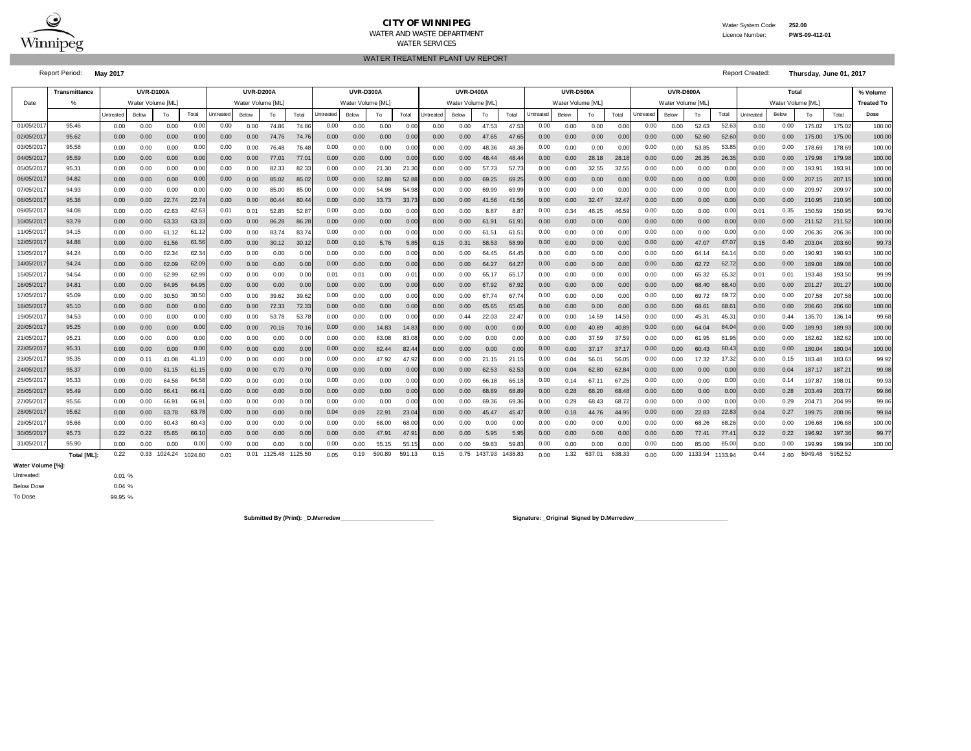

### **CITY OF WINNIPEG**WATER AND WASTE DEPARTMENT

WATER TREATMENT PLANT UV REPORT

 Water System Code: **252.00** Licence Number:**PWS-09-412-01**

WATER SERVICES

Report Period: **May 2017** Report Created: **Thursday, June 01, 2017**

|           | Transmittance      | <b>UVR-D100A</b><br><b>UVR-D200A</b> |                  |         |         |           | <b>UVR-D300A</b> |              |         |           | <b>UVR-D400A</b>  |        |                   | <b>UVR-D500A</b> |                  |         |         |           | UVR-D600A         |                |        | <b>Total</b>     |                  |         |         | % Volume  |                   |         |         |                   |
|-----------|--------------------|--------------------------------------|------------------|---------|---------|-----------|------------------|--------------|---------|-----------|-------------------|--------|-------------------|------------------|------------------|---------|---------|-----------|-------------------|----------------|--------|------------------|------------------|---------|---------|-----------|-------------------|---------|---------|-------------------|
| Date      |                    |                                      | Water Volume IML |         |         |           | Water Volume IML |              |         |           | Water Volume [ML] |        |                   |                  | Water Volume IML |         |         |           | Water Volume [ML] |                |        |                  | Water Volume IML |         |         |           | Water Volume [ML] |         |         | <b>Treated To</b> |
|           |                    | Untreated                            | Below            | To      | Total   | Untreated | Below            | To           | Total   | Jntreated | Below             | To     | Total             | Untreated        | Below            | To      | Total   | Untreated | Below             | To             | Total  | <b>Jntreated</b> | Below            | To      | Total   | Untreated | Below             | To      | Total   | Dose              |
| 01/05/201 | 95.46              | 0.00                                 | 0.00             | 0.00    | 0.00    | 0.00      | 0.00             | 74.86        | 74.86   | 0.00      | 0.00              | 0.00   | 0.00              | 0.00             | 0.00             | 47.53   | 47.53   | 0.00      | 0.00              | 0.00           | 0.00   | 0.00             | 0.00             | 52.63   | 52.63   | 0.00      | 0.00              | 175.02  | 175.02  | 100.00            |
| 02/05/201 | 95.62              | 0.00                                 | 0.00             | 0.00    | 0.00    | 0.00      | 0.00             | 74.76        | 74.76   | 0.00      | 0.00              | 0.00   | 0.00              | 0.00             | 0.00             | 47.65   | 47.65   | 0.00      | 0.00              | 0.00           | 0.00   | 0.00             | 0.00             | 52.60   | 52.60   | 0.00      | 0.00              | 175.00  | 175.00  | 100.00            |
| 03/05/201 | 95.58              | 0.00                                 | 0.00             | 0.00    | 0.00    | 0.00      | 0.00             | 76.48        | 76.48   | 0.00      | 0.00              | 0.00   | 0.00              | 0.00             | 0.00             | 48.36   | 48.36   | 0.00      | 0.00              | 0.00           | 0.00   | 0.00             | 0.00             | 53.85   | 53.85   | 0.00      | 0.00              | 178.69  | 178.69  | 100.00            |
| 04/05/201 | 95.59              | 0.00                                 | 0.00             | 0.00    | 0.00    | 0.00      | 0.00             | 77.01        | 77.0    | 0.00      | 0.00              | 0.00   | 0.00              | 0.00             | 0.00             | 48.44   | 48.4    | 0.00      | 0.00              | 28.18          | 28.18  | 0.00             | 0.00             | 26.35   | 26.35   | 0.00      | 0.00              | 179.98  | 179.98  | 100.00            |
| 05/05/201 | 95.31              | 0.00                                 | 0.00             | 0.00    | 0.00    | 0.00      | 0.00             | 82.33        | 82.3    | 0.00      | 0.00              | 21.30  | 21.3              | 0.00             | 0.00             | 57.73   | 57.7    | 0.00      | 0.00              | 32.55          | 32.55  | 0.00             | 0.00             | 0.00    | 0.00    | 0.00      | 0.00              | 193.91  | 193.91  | 100.00            |
| 06/05/201 | 94.82              | 0.00                                 | 0.00             | 0.00    | 0.01    | 0.00      | 0.00             | 85.02        | 85.02   | 0.00      | 0.00              | 52.88  | 52.8              | 0.00             | 0.00             | 69.25   | 69.2    | 0.00      | 0.00              | 0.00           | 0.00   | 0.00             | 0.00             | 0.00    | 0.00    | 0.00      | 0.00              | 207.15  | 207.15  | 100.00            |
| 07/05/201 | 94.93              | 0.00                                 | 0.00             | 0.00    | 0.01    | 0.00      | 0.00             | 85.00        | 85.00   | 0.00      | 0.00              | 54.98  | 54.98             | 0.00             | 0.00             | 69.99   | 69.99   | 0.00      | 0.00              | 0.00           | 0.00   | 0.00             | 0.00             | 0.00    | 0.00    | 0.00      | 0.00              | 209.97  | 209.97  | 100.00            |
| 08/05/201 | 95.38              | 0.00                                 | 0.00             | 22.74   | 22.7    | 0.00      | 0.00             | 80.44        | 80.44   | 0.00      | 0.00              | 33.73  | 33.7 <sup>′</sup> | 0.00             | 0.00             | 41.56   | 41.56   | 0.00      | 0.00              | 32.47          | 32.47  | 0.00             | 0.00             | 0.00    | 0.00    | 0.00      | 0.00              | 210.95  | 210.95  | 100.00            |
| 09/05/201 | 94.08              | 0.00                                 | 0.00             | 42.63   | 42.6    | 0.01      | 0.01             | 52.85        | 52.8    | 0.00      | 0.00              | 0.00   | 0.00              | 0.00             | 0.00             | 8.87    | 8.8     | 0.00      | 0.34              | 46.25          | 46.59  | 0.00             | 0.00             | 0.00    | 0.00    | 0.01      | 0.35              | 150.59  | 150.95  | 99.76             |
| 10/05/201 | 93.79              | 0.00                                 | 0.00             | 63.33   | 63.3    | 0.00      | 0.00             | 86.28        | 86.28   | 0.00      | 0.00              | 0.00   | 0.00              | 0.00             | 0.00             | 61.91   | 61.9    | 0.00      | 0.00              | 0.00           | 0.00   | 0.00             | 0.00             | 0.00    | 0.00    | 0.00      | 0.00              | 211.52  | 211.52  | 100.00            |
| 11/05/201 | 94.15              | 0.00                                 | 0.00             | 61.12   | 61.1    | 0.00      | 0.00             | 83.74        | 83.7    | 0.00      | 0.00              | 0.00   | 0.00              | 0.00             | 0.00             | 61.51   | 61.5    | 0.00      | 0.00              | 0.00           | 0.00   | 0.00             | 0.00             | 0.00    | 0.00    | 0.00      | 0.00              | 206.36  | 206.36  | 100.00            |
| 12/05/201 | 94.88              | 0.00                                 | 0.00             | 61.56   | 61.5    | 0.00      | 0.00             | 30.12        | 30.12   | 0.00      | 0.10              | 5.76   | 5.85              | 0.15             | 0.31             | 58.53   | 58.99   | 0.00      | 0.00              | 0.00           | 0.00   | 0.00             | 0.00             | 47.07   | 47.0    | 0.15      | 0.40              | 203.04  | 203.60  | 99.73             |
| 13/05/201 | 94.24              | 0.00                                 | 0.00             | 62.34   | 62.3    | 0.00      | 0.00             | 0.00         | 0.00    | 0.00      | 0.00              | 0.00   | 0.00              | 0.00             | 0.00             | 64.45   | 64.45   | 0.00      | 0.00              | 0.00           | 0.00   | 0.00             | 0.00             | 64.14   | 64.1    | 0.00      | 0.00              | 190.93  | 190.93  | 100.00            |
| 14/05/201 | 94.24              | 0.00                                 | 0.00             | 62.09   | 62.0    | 0.00      | 0.00             | 0.00         | 0.00    | 0.00      | 0.00              | 0.00   | 0.00              | 0.00             | 0.00             | 64.27   | 64.2    | 0.00      | 0.00              | 0.00           | 0.00   | 0.00             | 0.00             | 62.72   | 62.7    | 0.00      | 0.00              | 189.08  | 189.08  | 100.00            |
| 15/05/201 | 94.54              | 0.00                                 | 0.00             | 62.99   | 62.9    | 0.00      | 0.00             | 0.00         | 0.00    | 0.01      | 0.01              | 0.00   | 0.0               | 0.00             | 0.00             | 65.17   | 65.1    | 0.00      | 0.00              | 0.00           | 0.00   | 0.00             | 0.00             | 65.32   | 65.32   | 0.01      | 0.01              | 193.48  | 193.50  | 99.99             |
| 16/05/201 | 94.81              | 0.00                                 | 0.00             | 64.95   | 64.9    | 0.00      | 0.00             | 0.00         | 0.00    | 0.00      | 0.00              | 0.00   | 0.00              | 0.00             | 0.00             | 67.92   | 67.9    | 0.00      | 0.00              | 0.00           | 0.00   | 0.00             | 0.00             | 68.40   | 68.4    | 0.00      | 0.00              | 201.27  | 201.27  | 100.00            |
| 17/05/201 | 95.09              | 0.00                                 | 0.00             | 30.50   | 30.50   | 0.00      | 0.00             | 39.62        | 39.62   | 0.00      | 0.00              | 0.00   | 0.00              | 0.00             | 0.00             | 67.74   | 67.7    | 0.00      | 0.00              | 0.00           | 0.00   | 0.00             | 0.00             | 69.72   | 69.72   | 0.00      | 0.00              | 207.58  | 207.58  | 100.00            |
| 18/05/201 | 95.10              | 0.00                                 | 0.00             | 0.00    | 0.00    | 0.00      | 0.00             | 72.33        | 72.33   | 0.00      | 0.00              | 0.00   | 0.00              | 0.00             | 0.00             | 65.65   | 65.65   | 0.00      | 0.00              | 0.00           | 0.00   | 0.00             | 0.00             | 68.61   | 68.6    | 0.00      | 0.00              | 206,60  | 206.60  | 100.00            |
| 19/05/201 | 94.53              | 0.00                                 | 0.00             | 0.00    | 0.00    | 0.00      | 0.00             | 53.78        | 53.78   | 0.00      | 0.00              | 0.00   | 0.00              | 0.00             | 0.44             | 22.03   | 22.47   | 0.00      | 0.00              | 14.59          | 14.59  | 0.00             | 0.00             | 45.31   | 45.3    | 0.00      | 0.44              | 135.70  | 136.14  | 99.68             |
| 20/05/201 | 95.25              | 0.00                                 | 0.00             | 0.00    | 0.00    | 0.00      | 0.00             | 70.16        | 70.16   | 0.00      | 0.00              | 14.83  | 14.83             | 0.00             | 0.00             | 0.00    | 0.00    | 0.00      | 0.00              | 40.89          | 40.89  | 0.00             | 0.00             | 64.04   | 64.0    | 0.00      | 0.00              | 189.93  | 189.93  | 100.00            |
| 21/05/201 | 95.21              | 0.00                                 | 0.00             | 0.00    | 0.00    | 0.00      | 0.00             | 0.00         | 0.00    | 0.00      | 0.00              | 83.08  | 83.08             | 0.00             | 0.00             | 0.00    | 0.00    | 0.00      | 0.00              | 37.59          | 37.59  | 0.00             | 0.00             | 61.95   | 61.95   | 0.00      | 0.00              | 182.62  | 182.62  | 100.00            |
| 22/05/201 | 95.31              | 0.00                                 | 0.00             | 0.00    | 0.00    | 0.00      | 0.00             | 0.00         | 0.00    | 0.00      | 0.00              | 82.44  | 82.44             | 0.00             | 0.00             | 0.00    | 0.00    | 0.00      | 0.00              | 37.17          | 37.17  | 0.00             | 0.00             | 60.43   | 60.4    | 0.00      | 0.00              | 180.04  | 180.04  | 100.00            |
| 23/05/201 | 95.35              | 0.00                                 | 0.11             | 41.08   | 41.1    | 0.00      | 0.00             | 0.00         | 0.00    | 0.00      | 0.00              | 47.92  | 47.92             | 0.00             | 0.00             | 21.15   | 21.15   | 0.00      | 0.04              | $56.0^{\circ}$ | 56.05  | 0.00             | 0.00             | 17.32   | 17.32   | 0.00      | 0.15              | 183.48  | 183.63  | 99.92             |
| 24/05/201 | 95.37              | 0.00                                 | 0.00             | 61.15   | 61.1    | 0.00      | 0.00             | 0.70         | 0.70    | 0.00      | 0.00              | 0.00   | 0.00              | 0.00             | 0.00             | 62.53   | 62.53   | 0.00      | 0.04              | 62.80          | 62.84  | 0.00             | 0.00             | 0.00    | 0.00    | 0.00      | 0.04              | 187.17  | 187.21  | 99.98             |
| 25/05/201 | 95.33              | 0.00                                 | 0.00             | 64.58   | 64.5    | 0.00      | 0.00             | 0.00         | 0.00    | 0.00      | 0.00              | 0.00   | 0.0               | 0.00             | 0.00             | 66.18   | 66.1    | 0.00      | 0.14              | 67.1           | 67.25  | 0.00             | 0.00             | 0.00    | 0.00    | 0.00      | 0.14              | 197.87  | 198.0   | 99.93             |
| 26/05/201 | 95.49              | 0.00                                 | 0.00             | 66.41   | 66.4    | 0.00      | 0.00             | 0.00         | 0.00    | 0.00      | 0.00              | 0.00   | 0.00              | 0.00             | 0.00             | 68.89   | 68.8    | 0.00      | 0.28              | 68.20          | 68.48  | 0.00             | 0.00             | 0.00    | 0.00    | 0.00      | 0.28              | 203.49  | 203.77  | 99.86             |
| 27/05/201 | 95.56              | 0.00                                 | 0.00             | 66.91   | 66.9    | 0.00      | 0.00             | 0.00         | 0.00    | 0.00      | 0.00              | 0.00   | 0.00              | 0.00             | 0.00             | 69.36   | 69.36   | 0.00      | 0.29              | 68.43          | 68.72  | 0.00             | 0.00             | 0.00    | 0.00    | 0.00      | 0.29              | 204.71  | 204.99  | 99.86             |
| 28/05/201 | 95.62              | 0.00                                 | 0.00             | 63.78   | 63.7    | 0.00      | 0.00             | 0.00         | 0.00    | 0.04      | 0.09              | 22.91  | 23.04             | 0.00             | 0.00             | 45.47   | 45.47   | 0.00      | 0.18              | 44.76          | 44.95  | 0.00             | 0.00             | 22.83   | 22.83   | 0.04      | 0.27              | 199.75  | 200.06  | 99.84             |
| 29/05/201 | 95.66              | 0.00                                 | 0.00             | 60.43   | 60.4    | 0.00      | 0.00             | 0.00         | 0.00    | 0.00      | 0.00              | 68.00  | 68.00             | 0.00             | 0.00             | 0.00    | 0.00    | 0.00      | 0.00              | 0.00           | 0.00   | 0.00             | 0.00             | 68.26   | 68.26   | 0.00      | 0.00              | 196.68  | 196.68  | 100.00            |
| 30/05/201 | 95.73              | 0.22                                 | 0.22             | 65.65   | 66.1    | 0.00      | 0.00             | 0.00         | 0.00    | 0.00      | 0.00              | 47.91  | 47.9              | 0.00             | 0.00             | 5.95    | 5.95    | 0.00      | 0.00              | 0.00           | 0.00   | 0.00             | 0.00             | 77.41   | 77.4    | 0.22      | 0.22              | 196.92  | 197.36  | 99.77             |
| 31/05/201 | 95.90              | 0.00                                 | 0.00             | 0.00    | 0.0     | 0.00      | 0.00             | 0.00         | 0.00    | 0.00      | 0.00              | 55.15  | 55.15             | 0.00             | 0.00             | 59.83   | 59.8    | 0.00      | 0.00              | 0.00           | 0.00   | 0.00             | 0.00             | 85.00   | 85.00   | 0.00      | 0.00              | 199.99  | 199.99  | 100.00            |
|           | <b>Total [ML]:</b> | 0.22                                 | 0.33             | 1024.24 | 1024.80 | 0.01      |                  | 0.01 1125.48 | 1125.50 | 0.05      | 0.19              | 590.89 | 591.13            | 0.15             | 0.75             | 1437.93 | 1438.83 | 0.00      | 1.32              | 637.01         | 638.33 | 0.00             | 0.00             | 1133.94 | 1133.94 | 0.44      | 2.60              | 5949.48 | 5952.52 |                   |

**Water Volume [%]:**

Below Dose Untreated:To Dose

0.01 % 0.04 %99.95 %

**Submitted By (Print): \_D.Merredew\_\_\_\_\_\_\_\_\_\_\_\_\_\_\_\_\_\_\_\_\_\_\_\_\_\_\_\_\_ Signature: \_Original Signed by D.Merredew\_\_\_\_\_\_\_\_\_\_\_\_\_\_\_\_\_\_\_\_\_\_\_\_\_\_\_\_\_**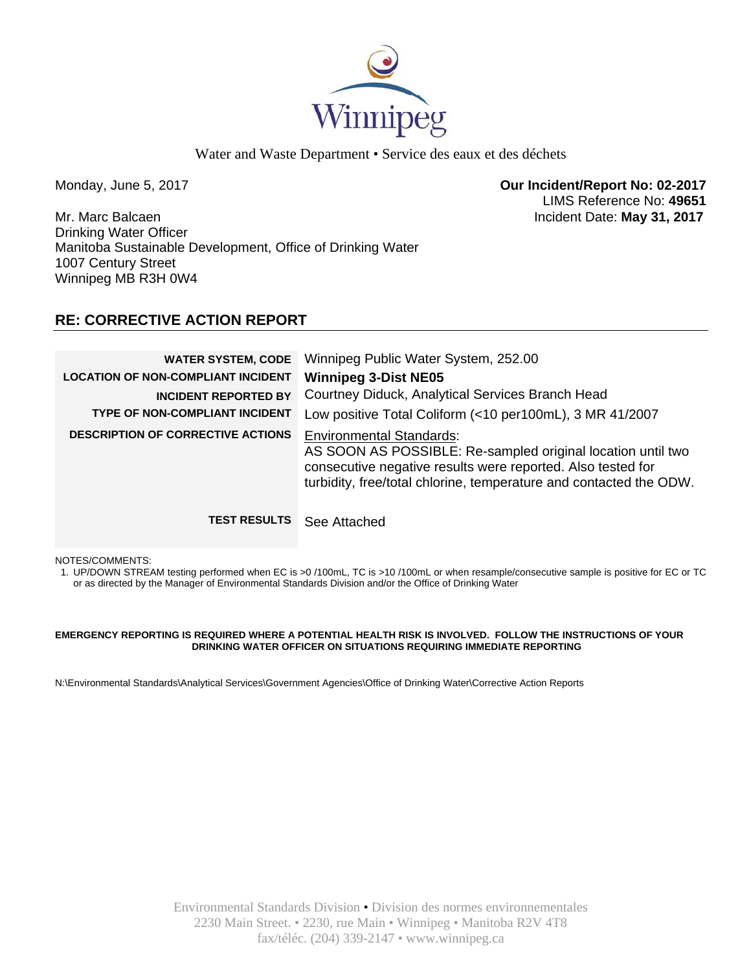

Water and Waste Department • Service des eaux et des déchets

Monday, June 5, 2017 **Our Incident/Report No: 02-2017**  LIMS Reference No: **49651**

Mr. Marc Balcaen Incident Date: **May 31, 2017**  Drinking Water Officer Manitoba Sustainable Development, Office of Drinking Water 1007 Century Street Winnipeg MB R3H 0W4

# **RE: CORRECTIVE ACTION REPORT**

| <b>WATER SYSTEM, CODE</b><br><b>LOCATION OF NON-COMPLIANT INCIDENT</b><br><b>INCIDENT REPORTED BY</b><br><b>TYPE OF NON-COMPLIANT INCIDENT</b> | Winnipeg Public Water System, 252.00<br><b>Winnipeg 3-Dist NE05</b><br>Courtney Diduck, Analytical Services Branch Head<br>Low positive Total Coliform (<10 per100mL), 3 MR 41/2007                                                 |
|------------------------------------------------------------------------------------------------------------------------------------------------|-------------------------------------------------------------------------------------------------------------------------------------------------------------------------------------------------------------------------------------|
| <b>DESCRIPTION OF CORRECTIVE ACTIONS</b>                                                                                                       | <b>Environmental Standards:</b><br>AS SOON AS POSSIBLE: Re-sampled original location until two<br>consecutive negative results were reported. Also tested for<br>turbidity, free/total chlorine, temperature and contacted the ODW. |
| <b>TEST RESULTS</b>                                                                                                                            | See Attached                                                                                                                                                                                                                        |

NOTES/COMMENTS:

1. UP/DOWN STREAM testing performed when EC is >0 /100mL, TC is >10 /100mL or when resample/consecutive sample is positive for EC or TC or as directed by the Manager of Environmental Standards Division and/or the Office of Drinking Water

### **EMERGENCY REPORTING IS REQUIRED WHERE A POTENTIAL HEALTH RISK IS INVOLVED. FOLLOW THE INSTRUCTIONS OF YOUR DRINKING WATER OFFICER ON SITUATIONS REQUIRING IMMEDIATE REPORTING**

N:\Environmental Standards\Analytical Services\Government Agencies\Office of Drinking Water\Corrective Action Reports